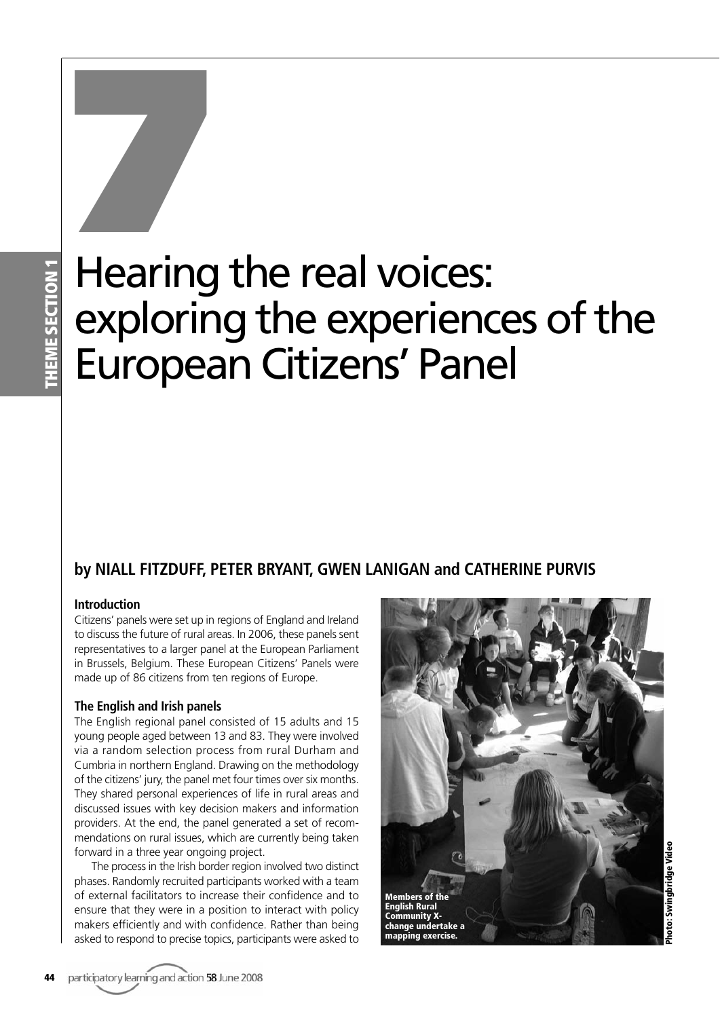# Hearing the real voices: exploring the experiences of the European Citizens' Panel **1999**<br>Hearing

# **by NIALL FITZDUFF, PETER BRYANT, GWEN LANIGAN and CATHERINE PURVIS**

# **Introduction**

Citizens' panels were set up in regions of England and Ireland to discuss the future of rural areas. In 2006, these panels sent representatives to a larger panel at the European Parliament in Brussels, Belgium. These European Citizens' Panels were made up of 86 citizens from ten regions of Europe.

## **The English and Irish panels**

The English regional panel consisted of 15 adults and 15 young people aged between 13 and 83. They were involved via a random selection process from rural Durham and Cumbria in northern England. Drawing on the methodology of the citizens' jury, the panel met four times over six months. They shared personal experiences of life in rural areas and discussed issues with key decision makers and information providers. At the end, the panel generated a set of recommendations on rural issues, which are currently being taken forward in a three year ongoing project.

The process in the Irish border region involved two distinct phases. Randomly recruited participants worked with a team of external facilitators to increase their confidence and to ensure that they were in a position to interact with policy makers efficiently and with confidence. Rather than being asked to respond to precise topics, participants were asked to

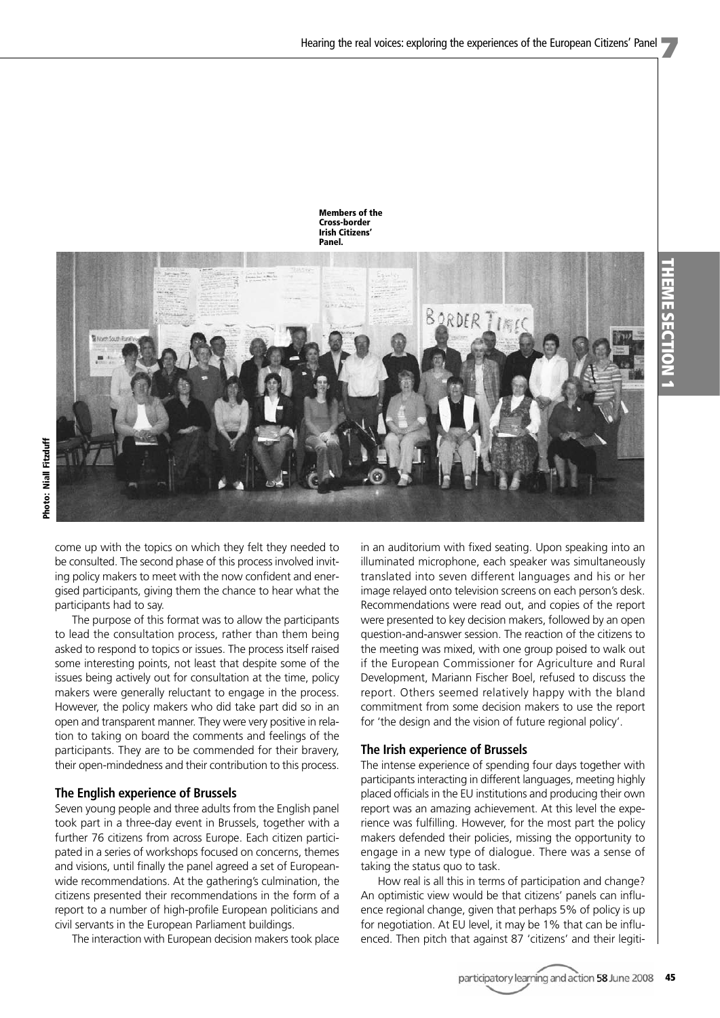

come up with the topics on which they felt they needed to be consulted. The second phase of this process involved inviting policy makers to meet with the now confident and energised participants, giving them the chance to hear what the participants had to say.

The purpose of this format was to allow the participants to lead the consultation process, rather than them being asked to respond to topics or issues. The process itself raised some interesting points, not least that despite some of the issues being actively out for consultation at the time, policy makers were generally reluctant to engage in the process. However, the policy makers who did take part did so in an open and transparent manner. They were very positive in relation to taking on board the comments and feelings of the participants. They are to be commended for their bravery, their open-mindedness and their contribution to this process.

### **The English experience of Brussels**

Seven young people and three adults from the English panel took part in a three-day event in Brussels, together with a further 76 citizens from across Europe. Each citizen participated in a series of workshops focused on concerns, themes and visions, until finally the panel agreed a set of Europeanwide recommendations. At the gathering's culmination, the citizens presented their recommendations in the form of a report to a number of high-profile European politicians and civil servants in the European Parliament buildings.

The interaction with European decision makers took place

in an auditorium with fixed seating. Upon speaking into an illuminated microphone, each speaker was simultaneously translated into seven different languages and his or her image relayed onto television screens on each person's desk. Recommendations were read out, and copies of the report were presented to key decision makers, followed by an open question-and-answer session. The reaction of the citizens to the meeting was mixed, with one group poised to walk out if the European Commissioner for Agriculture and Rural Development, Mariann Fischer Boel, refused to discuss the report. Others seemed relatively happy with the bland commitment from some decision makers to use the report for 'the design and the vision of future regional policy'.

### **The Irish experience of Brussels**

The intense experience of spending four days together with participants interacting in different languages, meeting highly placed officials in the EU institutions and producing their own report was an amazing achievement. At this level the experience was fulfilling. However, for the most part the policy makers defended their policies, missing the opportunity to engage in a new type of dialogue. There was a sense of taking the status quo to task.

How real is all this in terms of participation and change? An optimistic view would be that citizens' panels can influence regional change, given that perhaps 5% of policy is up for negotiation. At EU level, it may be 1% that can be influenced. Then pitch that against 87 'citizens' and their legiti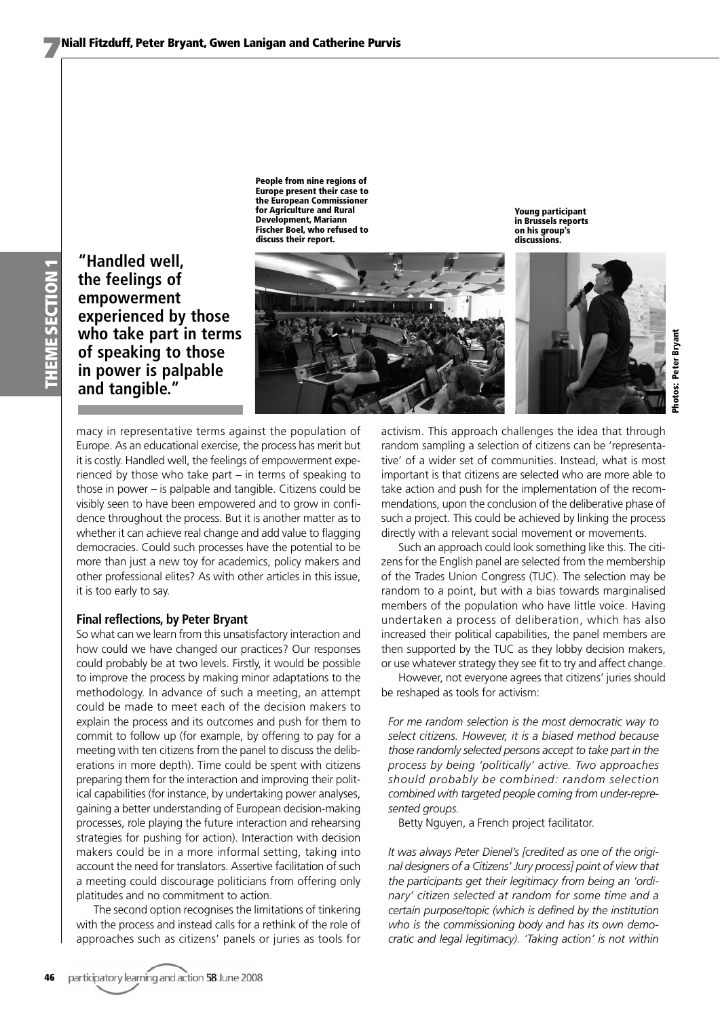**HEME SECTION 1 THEME SECTION 1**

**"Handled well, the feelings of empowerment experienced by those who take part in terms of speaking to those in power is palpable and tangible."**

**People from nine regions of Europe present their case to the European Commissioner for Agriculture and Rural Development, Mariann Fischer Boel, who refused to discuss their report.**



**Young participant in Brussels reports on his group's discussions.**



macy in representative terms against the population of Europe. As an educational exercise, the process has merit but it is costly. Handled well, the feelings of empowerment experienced by those who take part – in terms of speaking to those in power – is palpable and tangible. Citizens could be visibly seen to have been empowered and to grow in confidence throughout the process. But it is another matter as to whether it can achieve real change and add value to flagging democracies. Could such processes have the potential to be more than just a new toy for academics, policy makers and other professional elites? As with other articles in this issue, it is too early to say.

### **Final reflections, by Peter Bryant**

So what can we learn from this unsatisfactory interaction and how could we have changed our practices? Our responses could probably be at two levels. Firstly, it would be possible to improve the process by making minor adaptations to the methodology. In advance of such a meeting, an attempt could be made to meet each of the decision makers to explain the process and its outcomes and push for them to commit to follow up (for example, by offering to pay for a meeting with ten citizens from the panel to discuss the deliberations in more depth). Time could be spent with citizens preparing them for the interaction and improving their political capabilities (for instance, by undertaking power analyses, gaining a better understanding of European decision-making processes, role playing the future interaction and rehearsing strategies for pushing for action). Interaction with decision makers could be in a more informal setting, taking into account the need for translators. Assertive facilitation of such a meeting could discourage politicians from offering only platitudes and no commitment to action.

The second option recognises the limitations of tinkering with the process and instead calls for a rethink of the role of approaches such as citizens' panels or juries as tools for activism. This approach challenges the idea that through random sampling a selection of citizens can be 'representative' of a wider set of communities. Instead, what is most important is that citizens are selected who are more able to take action and push for the implementation of the recommendations, upon the conclusion of the deliberative phase of such a project. This could be achieved by linking the process directly with a relevant social movement or movements.

Such an approach could look something like this. The citizens for the English panel are selected from the membership of the Trades Union Congress (TUC). The selection may be random to a point, but with a bias towards marginalised members of the population who have little voice. Having undertaken a process of deliberation, which has also increased their political capabilities, the panel members are then supported by the TUC as they lobby decision makers, or use whatever strategy they see fit to try and affect change.

However, not everyone agrees that citizens' juries should be reshaped as tools for activism:

*For me random selection is the most democratic way to select citizens. However, it is a biased method because those randomly selected persons accept to take part in the process by being 'politically' active. Two approaches should probably be combined: random selection combined with targeted people coming from under-represented groups.*

Betty Nguyen, a French project facilitator.

*It was always Peter Dienel's [credited as one of the original designers of a Citizens' Jury process] point of view that the participants get their legitimacy from being an 'ordinary' citizen selected at random for some time and a certain purpose/topic (which is defined by the institution who is the commissioning body and has its own democratic and legal legitimacy). 'Taking action' is not within*